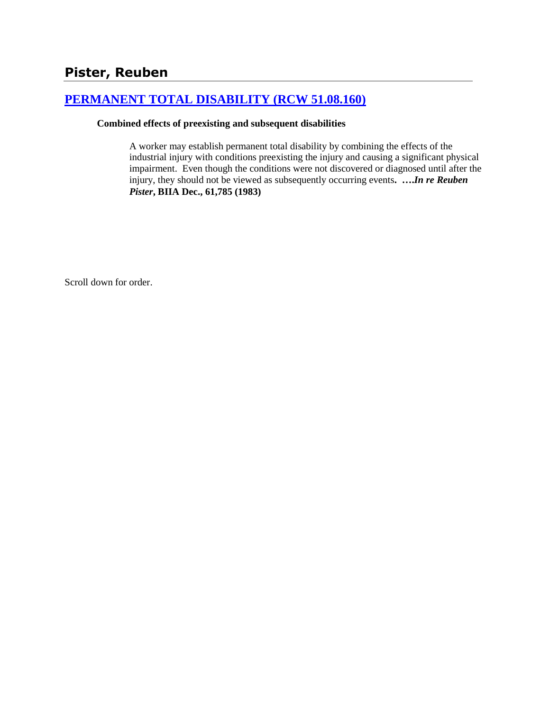# **[PERMANENT TOTAL DISABILITY \(RCW 51.08.160\)](http://www.biia.wa.gov/SDSubjectIndex.html#PERMANENT_TOTAL_DISABILITY)**

#### **Combined effects of preexisting and subsequent disabilities**

A worker may establish permanent total disability by combining the effects of the industrial injury with conditions preexisting the injury and causing a significant physical impairment. Even though the conditions were not discovered or diagnosed until after the injury, they should not be viewed as subsequently occurring events**. ….***In re Reuben Pister***, BIIA Dec., 61,785 (1983)** 

Scroll down for order.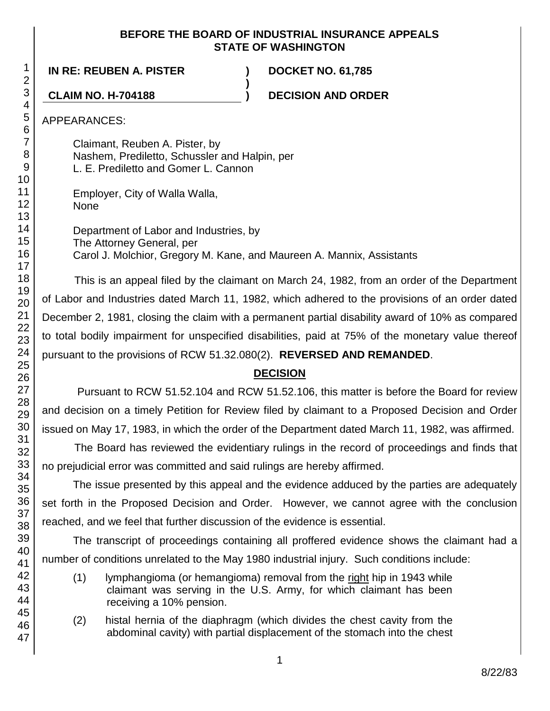### **BEFORE THE BOARD OF INDUSTRIAL INSURANCE APPEALS STATE OF WASHINGTON**

**IN RE: REUBEN A. PISTER ) DOCKET NO. 61,785**

**CLAIM NO. H-704188 ) DECISION AND ORDER**

APPEARANCES:

Claimant, Reuben A. Pister, by Nashem, Prediletto, Schussler and Halpin, per L. E. Prediletto and Gomer L. Cannon

Employer, City of Walla Walla, None

Department of Labor and Industries, by The Attorney General, per Carol J. Molchior, Gregory M. Kane, and Maureen A. Mannix, Assistants

**)**

This is an appeal filed by the claimant on March 24, 1982, from an order of the Department of Labor and Industries dated March 11, 1982, which adhered to the provisions of an order dated December 2, 1981, closing the claim with a permanent partial disability award of 10% as compared to total bodily impairment for unspecified disabilities, paid at 75% of the monetary value thereof pursuant to the provisions of RCW 51.32.080(2). **REVERSED AND REMANDED**.

# **DECISION**

Pursuant to RCW 51.52.104 and RCW 51.52.106, this matter is before the Board for review and decision on a timely Petition for Review filed by claimant to a Proposed Decision and Order issued on May 17, 1983, in which the order of the Department dated March 11, 1982, was affirmed.

The Board has reviewed the evidentiary rulings in the record of proceedings and finds that no prejudicial error was committed and said rulings are hereby affirmed.

The issue presented by this appeal and the evidence adduced by the parties are adequately set forth in the Proposed Decision and Order. However, we cannot agree with the conclusion reached, and we feel that further discussion of the evidence is essential.

The transcript of proceedings containing all proffered evidence shows the claimant had a number of conditions unrelated to the May 1980 industrial injury. Such conditions include:

- (1) lymphangioma (or hemangioma) removal from the right hip in 1943 while claimant was serving in the U.S. Army, for which claimant has been receiving a 10% pension.
- (2) histal hernia of the diaphragm (which divides the chest cavity from the abdominal cavity) with partial displacement of the stomach into the chest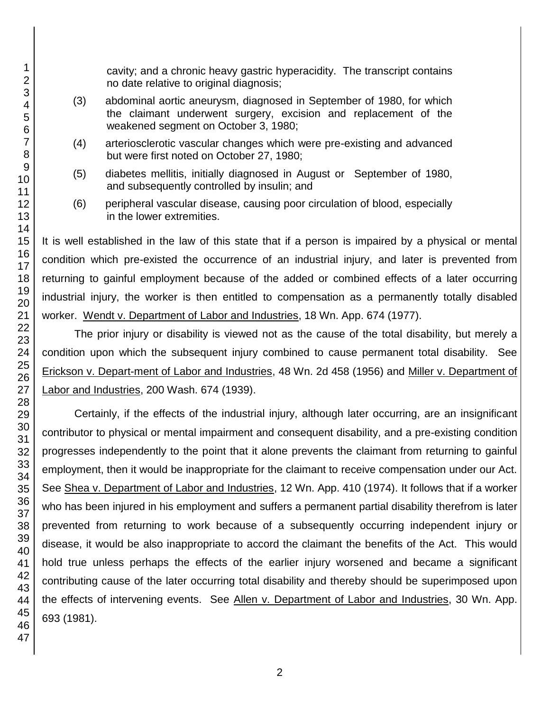cavity; and a chronic heavy gastric hyperacidity. The transcript contains no date relative to original diagnosis;

- (3) abdominal aortic aneurysm, diagnosed in September of 1980, for which the claimant underwent surgery, excision and replacement of the weakened segment on October 3, 1980;
- (4) arteriosclerotic vascular changes which were pre-existing and advanced but were first noted on October 27, 1980;
- (5) diabetes mellitis, initially diagnosed in August or September of 1980, and subsequently controlled by insulin; and
- (6) peripheral vascular disease, causing poor circulation of blood, especially in the lower extremities.

It is well established in the law of this state that if a person is impaired by a physical or mental condition which pre-existed the occurrence of an industrial injury, and later is prevented from returning to gainful employment because of the added or combined effects of a later occurring industrial injury, the worker is then entitled to compensation as a permanently totally disabled worker. Wendt v. Department of Labor and Industries, 18 Wn. App. 674 (1977).

The prior injury or disability is viewed not as the cause of the total disability, but merely a condition upon which the subsequent injury combined to cause permanent total disability. See Erickson v. Depart-ment of Labor and Industries, 48 Wn. 2d 458 (1956) and Miller v. Department of Labor and Industries, 200 Wash. 674 (1939).

Certainly, if the effects of the industrial injury, although later occurring, are an insignificant contributor to physical or mental impairment and consequent disability, and a pre-existing condition progresses independently to the point that it alone prevents the claimant from returning to gainful employment, then it would be inappropriate for the claimant to receive compensation under our Act. See Shea v. Department of Labor and Industries, 12 Wn. App. 410 (1974). It follows that if a worker who has been injured in his employment and suffers a permanent partial disability therefrom is later prevented from returning to work because of a subsequently occurring independent injury or disease, it would be also inappropriate to accord the claimant the benefits of the Act. This would hold true unless perhaps the effects of the earlier injury worsened and became a significant contributing cause of the later occurring total disability and thereby should be superimposed upon the effects of intervening events. See Allen v. Department of Labor and Industries, 30 Wn. App. 693 (1981).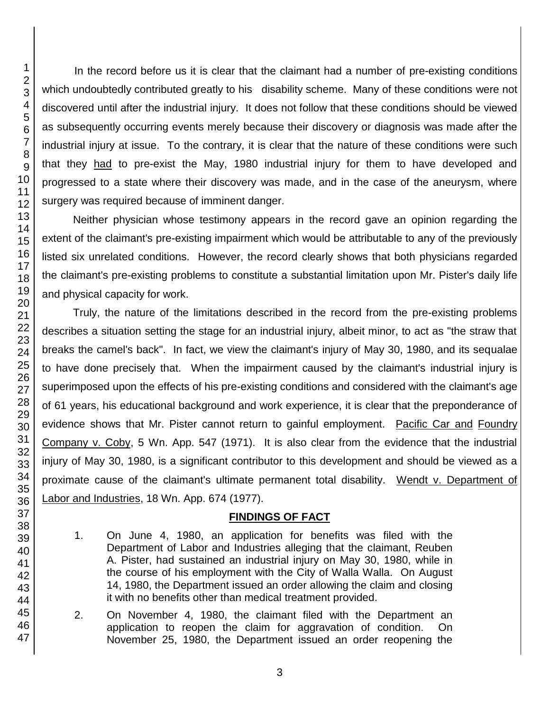45 46 47

In the record before us it is clear that the claimant had a number of pre-existing conditions which undoubtedly contributed greatly to his disability scheme. Many of these conditions were not discovered until after the industrial injury. It does not follow that these conditions should be viewed as subsequently occurring events merely because their discovery or diagnosis was made after the industrial injury at issue. To the contrary, it is clear that the nature of these conditions were such that they had to pre-exist the May, 1980 industrial injury for them to have developed and progressed to a state where their discovery was made, and in the case of the aneurysm, where surgery was required because of imminent danger.

Neither physician whose testimony appears in the record gave an opinion regarding the extent of the claimant's pre-existing impairment which would be attributable to any of the previously listed six unrelated conditions. However, the record clearly shows that both physicians regarded the claimant's pre-existing problems to constitute a substantial limitation upon Mr. Pister's daily life and physical capacity for work.

Truly, the nature of the limitations described in the record from the pre-existing problems describes a situation setting the stage for an industrial injury, albeit minor, to act as "the straw that breaks the camel's back". In fact, we view the claimant's injury of May 30, 1980, and its sequalae to have done precisely that. When the impairment caused by the claimant's industrial injury is superimposed upon the effects of his pre-existing conditions and considered with the claimant's age of 61 years, his educational background and work experience, it is clear that the preponderance of evidence shows that Mr. Pister cannot return to gainful employment. Pacific Car and Foundry Company v. Coby, 5 Wn. App. 547 (1971). It is also clear from the evidence that the industrial injury of May 30, 1980, is a significant contributor to this development and should be viewed as a proximate cause of the claimant's ultimate permanent total disability. Wendt v. Department of Labor and Industries, 18 Wn. App. 674 (1977).

# **FINDINGS OF FACT**

- 1. On June 4, 1980, an application for benefits was filed with the Department of Labor and Industries alleging that the claimant, Reuben A. Pister, had sustained an industrial injury on May 30, 1980, while in the course of his employment with the City of Walla Walla. On August 14, 1980, the Department issued an order allowing the claim and closing it with no benefits other than medical treatment provided.
- 2. On November 4, 1980, the claimant filed with the Department an application to reopen the claim for aggravation of condition. On November 25, 1980, the Department issued an order reopening the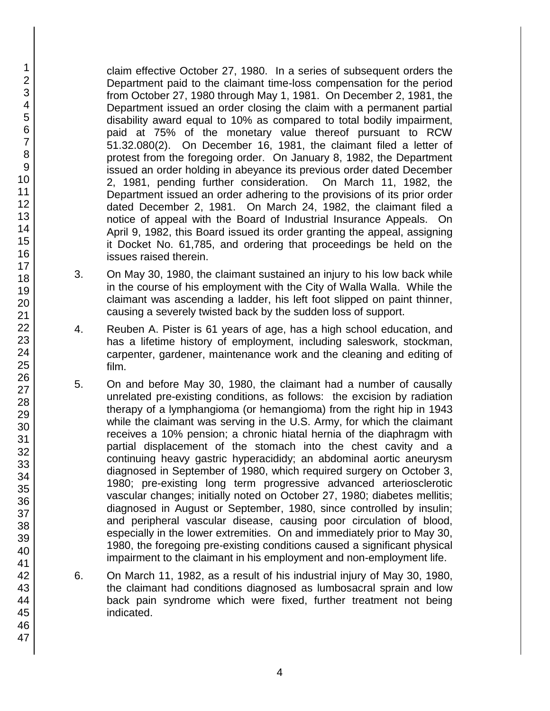claim effective October 27, 1980. In a series of subsequent orders the Department paid to the claimant time-loss compensation for the period from October 27, 1980 through May 1, 1981. On December 2, 1981, the Department issued an order closing the claim with a permanent partial disability award equal to 10% as compared to total bodily impairment, paid at 75% of the monetary value thereof pursuant to RCW 51.32.080(2). On December 16, 1981, the claimant filed a letter of protest from the foregoing order. On January 8, 1982, the Department issued an order holding in abeyance its previous order dated December 2, 1981, pending further consideration. On March 11, 1982, the Department issued an order adhering to the provisions of its prior order dated December 2, 1981. On March 24, 1982, the claimant filed a notice of appeal with the Board of Industrial Insurance Appeals. On April 9, 1982, this Board issued its order granting the appeal, assigning it Docket No. 61,785, and ordering that proceedings be held on the issues raised therein.

- 3. On May 30, 1980, the claimant sustained an injury to his low back while in the course of his employment with the City of Walla Walla. While the claimant was ascending a ladder, his left foot slipped on paint thinner, causing a severely twisted back by the sudden loss of support.
- 4. Reuben A. Pister is 61 years of age, has a high school education, and has a lifetime history of employment, including saleswork, stockman, carpenter, gardener, maintenance work and the cleaning and editing of film.
- 5. On and before May 30, 1980, the claimant had a number of causally unrelated pre-existing conditions, as follows: the excision by radiation therapy of a lymphangioma (or hemangioma) from the right hip in 1943 while the claimant was serving in the U.S. Army, for which the claimant receives a 10% pension; a chronic hiatal hernia of the diaphragm with partial displacement of the stomach into the chest cavity and a continuing heavy gastric hyperacididy; an abdominal aortic aneurysm diagnosed in September of 1980, which required surgery on October 3, 1980; pre-existing long term progressive advanced arteriosclerotic vascular changes; initially noted on October 27, 1980; diabetes mellitis; diagnosed in August or September, 1980, since controlled by insulin; and peripheral vascular disease, causing poor circulation of blood, especially in the lower extremities. On and immediately prior to May 30, 1980, the foregoing pre-existing conditions caused a significant physical impairment to the claimant in his employment and non-employment life.
- 6. On March 11, 1982, as a result of his industrial injury of May 30, 1980, the claimant had conditions diagnosed as lumbosacral sprain and low back pain syndrome which were fixed, further treatment not being indicated.

1